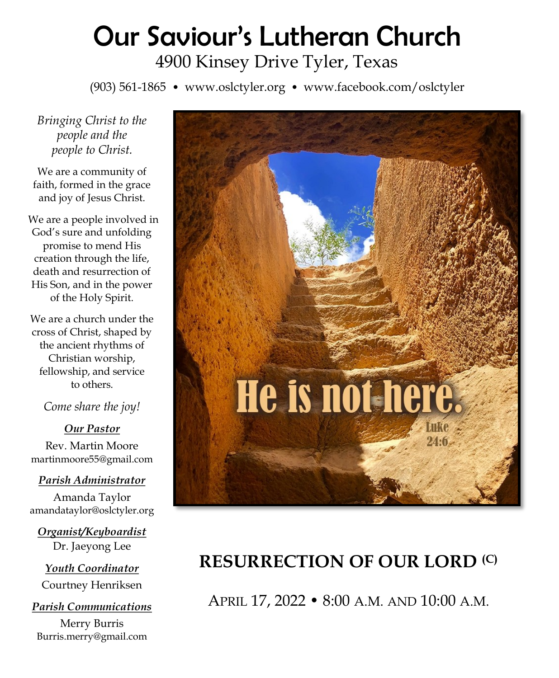# Our Saviour's Lutheran Church 4900 Kinsey Drive Tyler, Texas

(903) 561-1865 • www.oslctyler.org • www.facebook.com/oslctyler

*Bringing Christ to the people and the people to Christ.*

We are a community of faith, formed in the grace and joy of Jesus Christ.

We are a people involved in God's sure and unfolding promise to mend His creation through the life, death and resurrection of His Son, and in the power of the Holy Spirit.

We are a church under the cross of Christ, shaped by the ancient rhythms of Christian worship, fellowship, and service to others.

*Come share the joy!*

*Our Pastor* Rev. Martin Moore martinmoore55@gmail.com

#### *Parish Administrator*

Amanda Taylor amandataylor@oslctyler.org

*Organist/Keyboardist* Dr. Jaeyong Lee

*Youth Coordinator* Courtney Henriksen

*Parish Communications* Merry Burris Burris.merry@gmail.com



# **RESURRECTION OF OUR LORD (C)**

APRIL 17, 2022 • 8:00 A.M. AND 10:00 A.M.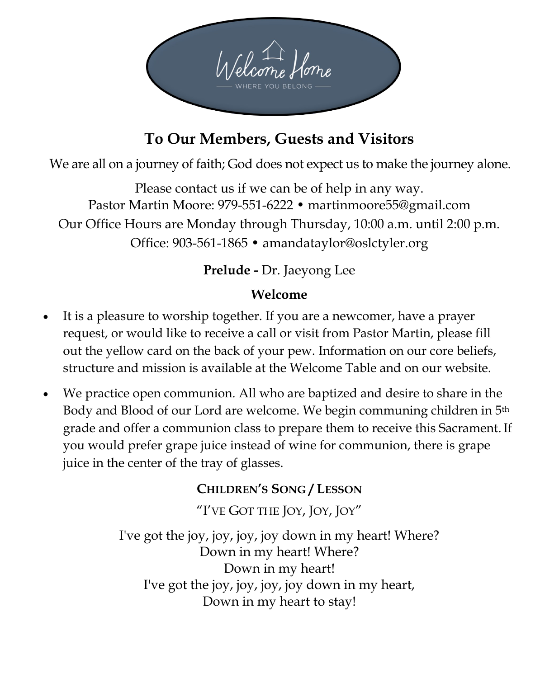

# **To Our Members, Guests and Visitors**

We are all on a journey of faith; God does not expect us to make the journey alone.

Please contact us if we can be of help in any way. Pastor Martin Moore: 979-551-6222 • martinmoore55@gmail.com Our Office Hours are Monday through Thursday, 10:00 a.m. until 2:00 p.m. Office: 903-561-1865 • amandataylor@oslctyler.org

## **Prelude -** Dr. Jaeyong Lee

#### **Welcome**

- It is a pleasure to worship together. If you are a newcomer, have a prayer request, or would like to receive a call or visit from Pastor Martin, please fill out the yellow card on the back of your pew. Information on our core beliefs, structure and mission is available at the Welcome Table and on our website.
- We practice open communion. All who are baptized and desire to share in the Body and Blood of our Lord are welcome. We begin communing children in 5th grade and offer a communion class to prepare them to receive this Sacrament.If you would prefer grape juice instead of wine for communion, there is grape juice in the center of the tray of glasses.

**CHILDREN'S SONG / LESSON** "I'VE GOT THE JOY, JOY, JOY" I've got the joy, joy, joy, joy down in my heart! Where? Down in my heart! Where? Down in my heart! I've got the joy, joy, joy, joy down in my heart, Down in my heart to stay!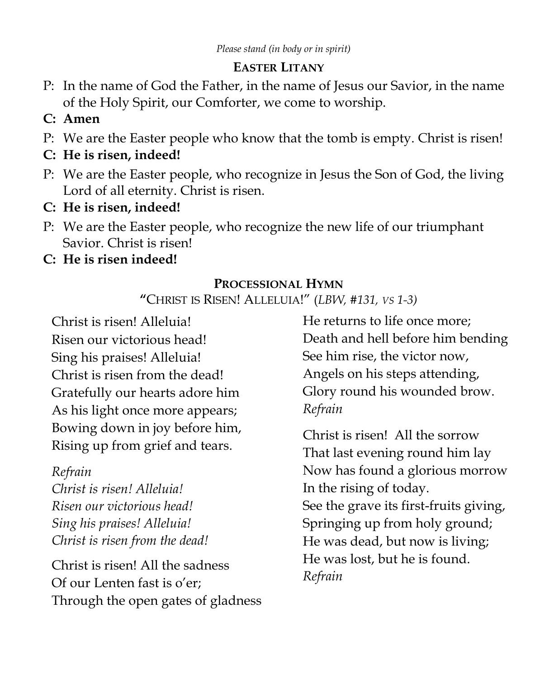#### **EASTER LITANY**

- P: In the name of God the Father, in the name of Jesus our Savior, in the name of the Holy Spirit, our Comforter, we come to worship.
- **C: Amen**
- P: We are the Easter people who know that the tomb is empty. Christ is risen!
- **C: He is risen, indeed!**
- P: We are the Easter people, who recognize in Jesus the Son of God, the living Lord of all eternity. Christ is risen.
- **C: He is risen, indeed!**
- P: We are the Easter people, who recognize the new life of our triumphant Savior. Christ is risen!
- **C: He is risen indeed!**

#### **PROCESSIONAL HYMN**

**"**CHRIST IS RISEN! ALLELUIA!" (*LBW, #131, VS 1-3)* 

Christ is risen! Alleluia! Risen our victorious head! Sing his praises! Alleluia! Christ is risen from the dead! Gratefully our hearts adore him As his light once more appears; Bowing down in joy before him, Rising up from grief and tears.

#### *Refrain*

*Christ is risen! Alleluia! Risen our victorious head! Sing his praises! Alleluia! Christ is risen from the dead!*

Christ is risen! All the sadness Of our Lenten fast is o'er; Through the open gates of gladness He returns to life once more; Death and hell before him bending See him rise, the victor now, Angels on his steps attending, Glory round his wounded brow. *Refrain*

Christ is risen! All the sorrow That last evening round him lay Now has found a glorious morrow In the rising of today. See the grave its first-fruits giving, Springing up from holy ground; He was dead, but now is living; He was lost, but he is found. *Refrain*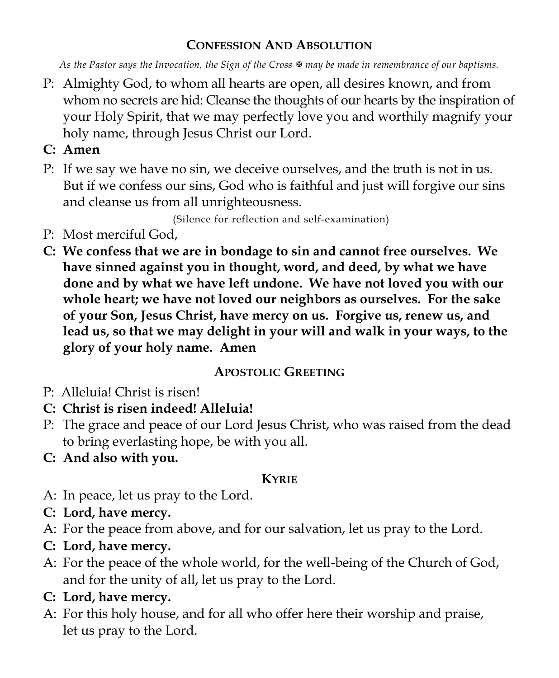#### **CONFESSION AND ABSOLUTION**

*As the Pastor says the Invocation, the Sign of the Cross may be made in remembrance of our baptisms.* 

- P: Almighty God, to whom all hearts are open, all desires known, and from whom no secrets are hid: Cleanse the thoughts of our hearts by the inspiration of your Holy Spirit, that we may perfectly love you and worthily magnify your holy name, through Jesus Christ our Lord.
- **C: Amen**
- P: If we say we have no sin, we deceive ourselves, and the truth is not in us. But if we confess our sins, God who is faithful and just will forgive our sins and cleanse us from all unrighteousness.

(Silence for reflection and self-examination)

- P: Most merciful God,
- **C: We confess that we are in bondage to sin and cannot free ourselves. We have sinned against you in thought, word, and deed, by what we have done and by what we have left undone. We have not loved you with our whole heart; we have not loved our neighbors as ourselves. For the sake of your Son, Jesus Christ, have mercy on us. Forgive us, renew us, and lead us, so that we may delight in your will and walk in your ways, to the glory of your holy name. Amen**

## **APOSTOLIC GREETING**

- P: Alleluia! Christ is risen!
- **C: Christ is risen indeed! Alleluia!**
- P: The grace and peace of our Lord Jesus Christ, who was raised from the dead to bring everlasting hope, be with you all.
- **C: And also with you.**

## **KYRIE**

- A: In peace, let us pray to the Lord.
- **C: Lord, have mercy.**
- A: For the peace from above, and for our salvation, let us pray to the Lord.
- **C: Lord, have mercy.**
- A: For the peace of the whole world, for the well-being of the Church of God, and for the unity of all, let us pray to the Lord.
- **C: Lord, have mercy.**
- A: For this holy house, and for all who offer here their worship and praise, let us pray to the Lord.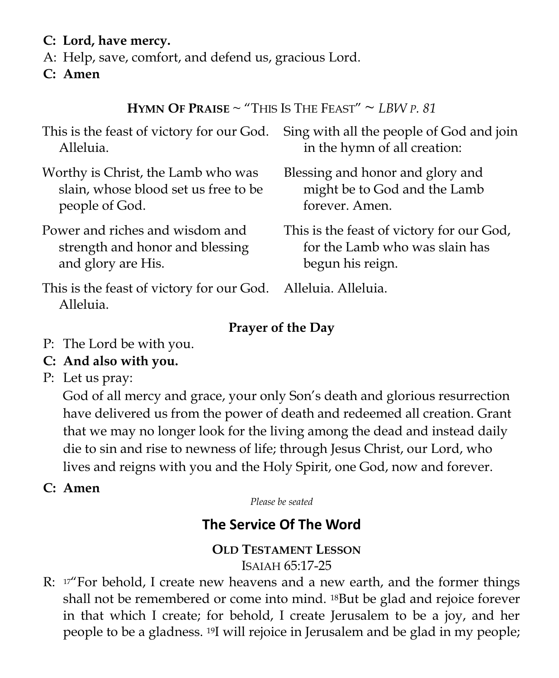- **C: Lord, have mercy.**
- A: Help, save, comfort, and defend us, gracious Lord.
- **C: Amen**

| HYMN OF PRAISE ~ "THIS IS THE FEAST" ~ LBW P. 81 |  |  |
|--------------------------------------------------|--|--|
|--------------------------------------------------|--|--|

| This is the feast of victory for our God.                                  | Sing with all the people of God and join  |
|----------------------------------------------------------------------------|-------------------------------------------|
| Alleluia.                                                                  | in the hymn of all creation:              |
| Worthy is Christ, the Lamb who was                                         | Blessing and honor and glory and          |
| slain, whose blood set us free to be                                       | might be to God and the Lamb              |
| people of God.                                                             | forever. Amen.                            |
| Power and riches and wisdom and                                            | This is the feast of victory for our God, |
| strength and honor and blessing                                            | for the Lamb who was slain has            |
| and glory are His.                                                         | begun his reign.                          |
| This is the feast of victory for our God. Alleluia. Alleluia.<br>Alleluia. |                                           |

#### **Prayer of the Day**

- P: The Lord be with you.
- **C: And also with you.**
- P: Let us pray:

God of all mercy and grace, your only Son's death and glorious resurrection have delivered us from the power of death and redeemed all creation. Grant that we may no longer look for the living among the dead and instead daily die to sin and rise to newness of life; through Jesus Christ, our Lord, who lives and reigns with you and the Holy Spirit, one God, now and forever.

**C: Amen**

*Please be seated*

# **The Service Of The Word**

#### **OLD TESTAMENT LESSON** ISAIAH 65:17-25

R: 17"For behold, I create new heavens and a new earth, and the former things shall not be remembered or come into mind. 18But be glad and rejoice forever in that which I create; for behold, I create Jerusalem to be a joy, and her people to be a gladness. 19I will rejoice in Jerusalem and be glad in my people;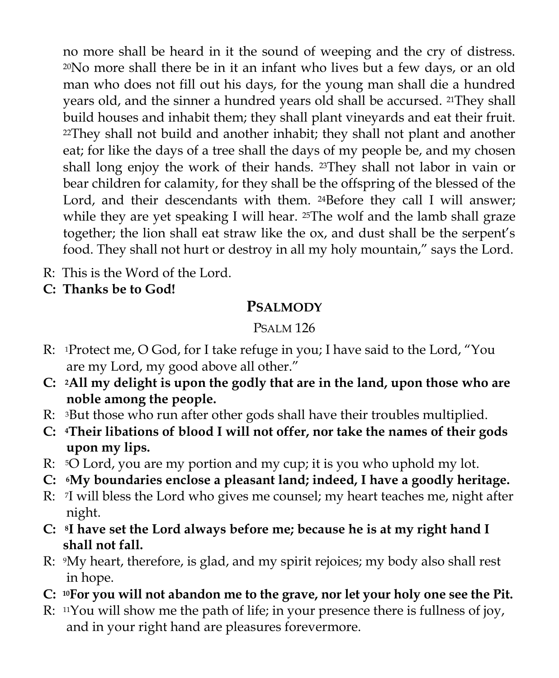no more shall be heard in it the sound of weeping and the cry of distress. <sup>20</sup>No more shall there be in it an infant who lives but a few days, or an old man who does not fill out his days, for the young man shall die a hundred years old, and the sinner a hundred years old shall be accursed. 21They shall build houses and inhabit them; they shall plant vineyards and eat their fruit. <sup>22</sup>They shall not build and another inhabit; they shall not plant and another eat; for like the days of a tree shall the days of my people be, and my chosen shall long enjoy the work of their hands. 23They shall not labor in vain or bear children for calamity, for they shall be the offspring of the blessed of the Lord, and their descendants with them. <sup>24</sup>Before they call I will answer; while they are yet speaking I will hear. <sup>25</sup>The wolf and the lamb shall graze together; the lion shall eat straw like the ox, and dust shall be the serpent's food. They shall not hurt or destroy in all my holy mountain," says the Lord.

- R: This is the Word of the Lord.
- **C: Thanks be to God!**

#### **PSALMODY**

#### PSALM 126

- R: <sup>1</sup>Protect me, O God, for I take refuge in you; I have said to the Lord, "You are my Lord, my good above all other."
- **C: <sup>2</sup>All my delight is upon the godly that are in the land, upon those who are noble among the people.**
- R: 3But those who run after other gods shall have their troubles multiplied.
- **C: <sup>4</sup>Their libations of blood I will not offer, nor take the names of their gods upon my lips.**
- R:  $50$  Lord, you are my portion and my cup; it is you who uphold my lot.
- **C: 6My boundaries enclose a pleasant land; indeed, I have a goodly heritage.**
- R: <sup>7</sup>I will bless the Lord who gives me counsel; my heart teaches me, night after night.
- **C: <sup>8</sup>I have set the Lord always before me; because he is at my right hand I shall not fall.**
- R: <sup>9</sup>My heart, therefore, is glad, and my spirit rejoices; my body also shall rest in hope.
- **C: 10For you will not abandon me to the grave, nor let your holy one see the Pit.**
- R: <sup>11</sup>You will show me the path of life; in your presence there is fullness of joy, and in your right hand are pleasures forevermore.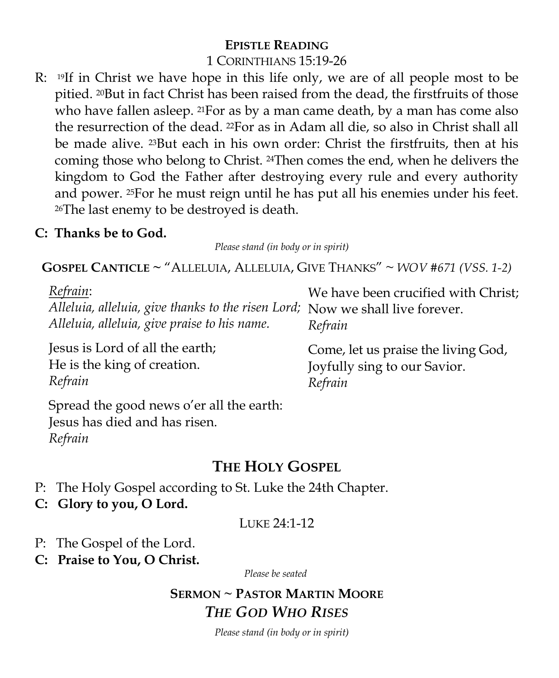# **EPISTLE READING**

#### 1 CORINTHIANS 15:19-26

R: <sup>19</sup>If in Christ we have hope in this life only, we are of all people most to be pitied. 20But in fact Christ has been raised from the dead, the firstfruits of those who have fallen asleep. <sup>21</sup>For as by a man came death, by a man has come also the resurrection of the dead. 22For as in Adam all die, so also in Christ shall all be made alive. 23But each in his own order: Christ the firstfruits, then at his coming those who belong to Christ. 24Then comes the end, when he delivers the kingdom to God the Father after destroying every rule and every authority and power. 25For he must reign until he has put all his enemies under his feet. <sup>26</sup>The last enemy to be destroyed is death.

#### **C: Thanks be to God.**

*Please stand (in body or in spirit)*

**GOSPEL CANTICLE ~** "ALLELUIA, ALLELUIA, GIVE THANKS" ~ *WOV #671 (VSS. 1-2)* 

| Refrain:                                                                      | We have been crucified with Christ; |
|-------------------------------------------------------------------------------|-------------------------------------|
| Alleluia, alleluia, give thanks to the risen Lord; Now we shall live forever. |                                     |
| Alleluia, alleluia, give praise to his name.                                  | Refrain                             |

Jesus is Lord of all the earth; He is the king of creation. *Refrain*

Come, let us praise the living God, Joyfully sing to our Savior. *Refrain*

Spread the good news o'er all the earth: Jesus has died and has risen. *Refrain*

# **THE HOLY GOSPEL**

- P: The Holy Gospel according to St. Luke the 24th Chapter.
- **C: Glory to you, O Lord.**

LUKE  $24.1-12$ 

- P: The Gospel of the Lord.
- **C: Praise to You, O Christ.**

*Please be seated*

## **SERMON ~ PASTOR MARTIN MOORE** *THE GOD WHO RISES*

*Please stand (in body or in spirit)*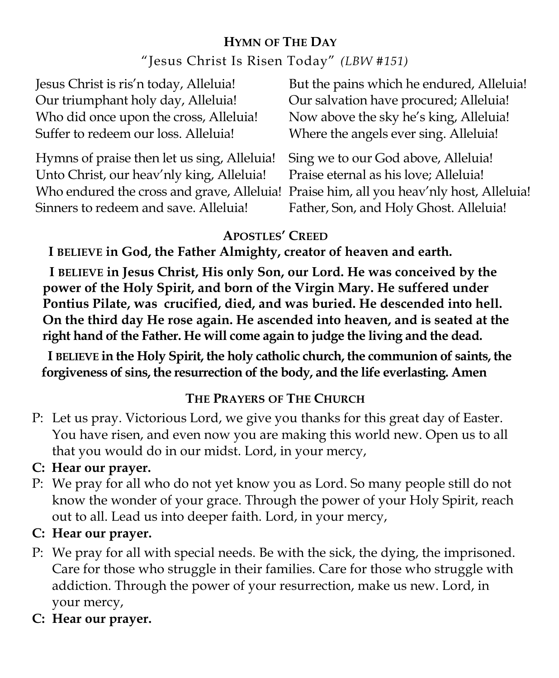#### **HYMN OF THE DAY**

## "Jesus Christ Is Risen Today" *(LBW #151)*

| Jesus Christ is ris'n today, Alleluia! | But the pains which he endured, Alleluia! |
|----------------------------------------|-------------------------------------------|
| Our triumphant holy day, Alleluia!     | Our salvation have procured; Alleluia!    |
| Who did once upon the cross, Alleluia! | Now above the sky he's king, Alleluia!    |
| Suffer to redeem our loss. Alleluia!   | Where the angels ever sing. Alleluia!     |
|                                        |                                           |

Who endured the cross and grave, Alleluia! Praise him, all you heav'nly host, Alleluia! Hymns of praise then let us sing, Alleluia! Unto Christ, our heav'nly king, Alleluia! Sinners to redeem and save. Alleluia!

Sing we to our God above, Alleluia! Praise eternal as his love; Alleluia! Father, Son, and Holy Ghost. Alleluia!

# **APOSTLES' CREED**

 **I BELIEVE in God, the Father Almighty, creator of heaven and earth.**

 **I BELIEVE in Jesus Christ, His only Son, our Lord. He was conceived by the power of the Holy Spirit, and born of the Virgin Mary. He suffered under Pontius Pilate, was crucified, died, and was buried. He descended into hell. On the third day He rose again. He ascended into heaven, and is seated at the right hand of the Father. He will come again to judge the living and the dead.**

 **I BELIEVE in the Holy Spirit, the holy catholic church, the communion of saints, the forgiveness of sins, the resurrection of the body, and the life everlasting. Amen** 

# **THE PRAYERS OF THE CHURCH**

P: Let us pray. Victorious Lord, we give you thanks for this great day of Easter. You have risen, and even now you are making this world new. Open us to all that you would do in our midst. Lord, in your mercy,

## **C: Hear our prayer.**

P: We pray for all who do not yet know you as Lord. So many people still do not know the wonder of your grace. Through the power of your Holy Spirit, reach out to all. Lead us into deeper faith. Lord, in your mercy,

## **C: Hear our prayer.**

- P: We pray for all with special needs. Be with the sick, the dying, the imprisoned. Care for those who struggle in their families. Care for those who struggle with addiction. Through the power of your resurrection, make us new. Lord, in your mercy,
- **C: Hear our prayer.**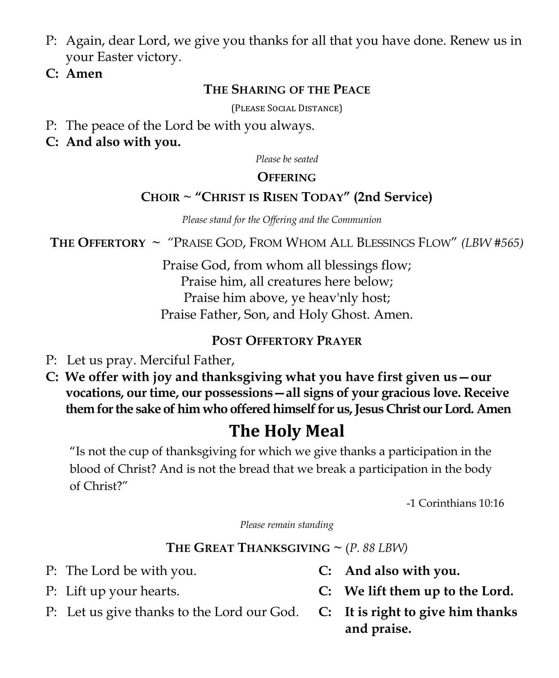P: Again, dear Lord, we give you thanks for all that you have done. Renew us in your Easter victory.

**C: Amen**

#### **THE SHARING OF THE PEACE**

(Please Social Distance)

- P: The peace of the Lord be with you always.
- **C: And also with you.**

*Please be seated*

#### **OFFERING**

## **CHOIR ~ "CHRIST IS RISEN TODAY" (2nd Service)**

*Please stand for the Offering and the Communion* 

**THE OFFERTORY** *~ "*PRAISE GOD, FROM WHOM ALL BLESSINGS FLOW" *(LBW #565)* 

Praise God, from whom all blessings flow; Praise him, all creatures here below; Praise him above, ye heav'nly host; Praise Father, Son, and Holy Ghost. Amen.

## **POST OFFERTORY PRAYER**

- P: Let us pray. Merciful Father,
- **C: We offer with joy and thanksgiving what you have first given us—our vocations, our time, our possessions—all signs of your gracious love. Receive them for the sake of him who offered himself for us, Jesus Christ our Lord. Amen**

# **The Holy Meal**

"Is not the cup of thanksgiving for which we give thanks a participation in the blood of Christ? And is not the bread that we break a participation in the body of Christ?"

-1 Corinthians 10:16

*Please remain standing* 

## **THE GREAT THANKSGIVING**  $\sim$  (*P. 88 LBW*)

- P: The Lord be with you. **C: And also with you.**
- 
- P: Let us give thanks to the Lord our God. **C: It is right to give him thanks**
- 
- P: Lift up your hearts. **C: We lift them up to the Lord.**
	- **and praise.**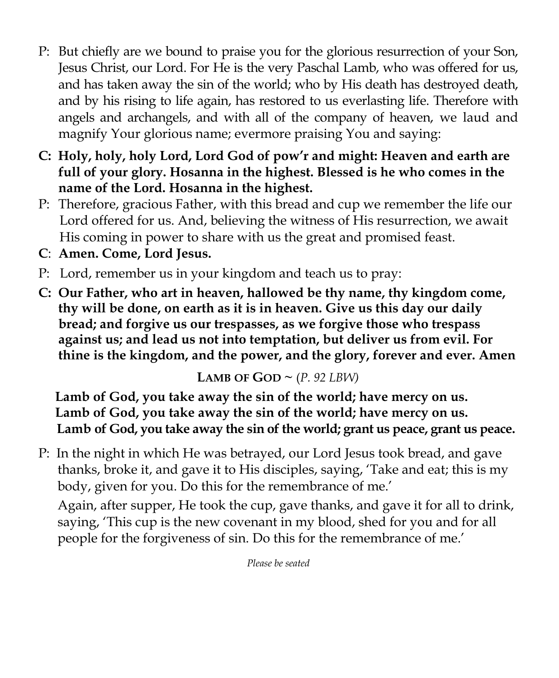- P: But chiefly are we bound to praise you for the glorious resurrection of your Son, Jesus Christ, our Lord. For He is the very Paschal Lamb, who was offered for us, and has taken away the sin of the world; who by His death has destroyed death, and by his rising to life again, has restored to us everlasting life. Therefore with angels and archangels, and with all of the company of heaven, we laud and magnify Your glorious name; evermore praising You and saying:
- **C: Holy, holy, holy Lord, Lord God of pow'r and might: Heaven and earth are full of your glory. Hosanna in the highest. Blessed is he who comes in the name of the Lord. Hosanna in the highest.**
- P: Therefore, gracious Father, with this bread and cup we remember the life our Lord offered for us. And, believing the witness of His resurrection, we await His coming in power to share with us the great and promised feast.
- **C**: **Amen. Come, Lord Jesus.**
- P: Lord, remember us in your kingdom and teach us to pray:
- **C: Our Father, who art in heaven, hallowed be thy name, thy kingdom come, thy will be done, on earth as it is in heaven. Give us this day our daily bread; and forgive us our trespasses, as we forgive those who trespass against us; and lead us not into temptation, but deliver us from evil. For thine is the kingdom, and the power, and the glory, forever and ever. Amen**

**LAMB OF GOD**  $\sim$  (*P. 92 LBW*)

 **Lamb of God, you take away the sin of the world; have mercy on us. Lamb of God, you take away the sin of the world; have mercy on us. Lamb of God, you take away the sin of the world; grant us peace, grant us peace.**

P: In the night in which He was betrayed, our Lord Jesus took bread, and gave thanks, broke it, and gave it to His disciples, saying, 'Take and eat; this is my body, given for you. Do this for the remembrance of me.'

LEW COVERALL III IIIy DIOOG **Lay Coordinator: Ed Lattier** people for the forgiveness of sin. Do this for the remembrance of me.' Again, after supper, He took the cup, gave thanks, and gave it for all to drink, saying, 'This cup is the new covenant in my blood, shed for you and for all

**Ushers: Ed Lattier & Connie Gibbs** *Please be seated*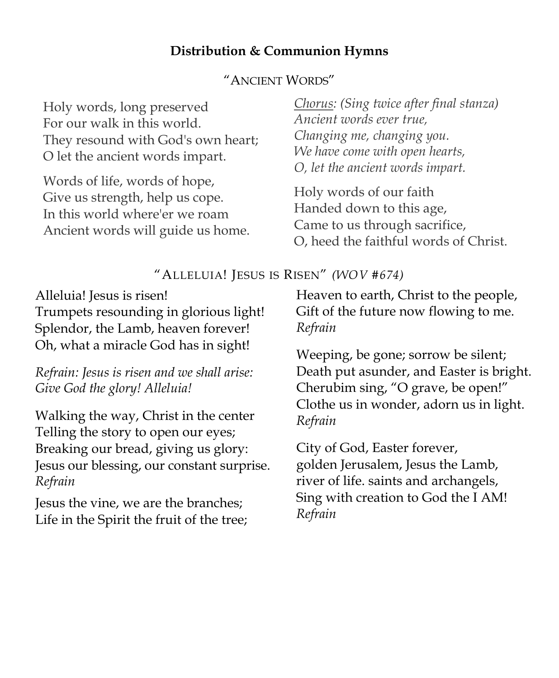#### **Distribution & Communion Hymns**

"ANCIENT WORDS"

Holy words, long preserved For our walk in this world. They resound with God's own heart; O let the ancient words impart.

Words of life, words of hope, Give us strength, help us cope. In this world where'er we roam Ancient words will guide us home.

*Chorus: (Sing twice after final stanza) Ancient words ever true, Changing me, changing you. We have come with open hearts, O, let the ancient words impart.*

Holy words of our faith Handed down to this age, Came to us through sacrifice, O, heed the faithful words of Christ.

#### "ALLELUIA! JESUS IS RISEN" *(WOV #674)*

Alleluia! Jesus is risen! Trumpets resounding in glorious light! Splendor, the Lamb, heaven forever! Oh, what a miracle God has in sight!

*Refrain: Jesus is risen and we shall arise: Give God the glory! Alleluia!*

Walking the way, Christ in the center Telling the story to open our eyes; Breaking our bread, giving us glory: Jesus our blessing, our constant surprise. *Refrain*

Jesus the vine, we are the branches; Life in the Spirit the fruit of the tree; Heaven to earth, Christ to the people, Gift of the future now flowing to me. *Refrain*

Weeping, be gone; sorrow be silent; Death put asunder, and Easter is bright. Cherubim sing, "O grave, be open!" Clothe us in wonder, adorn us in light. *Refrain*

City of God, Easter forever, golden Jerusalem, Jesus the Lamb, river of life. saints and archangels, Sing with creation to God the I AM! *Refrain*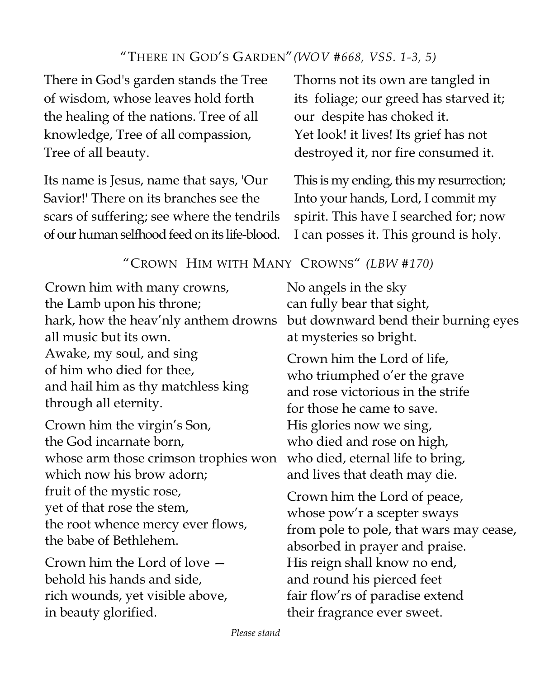There in God's garden stands the Tree of wisdom, whose leaves hold forth the healing of the nations. Tree of all knowledge, Tree of all compassion, Tree of all beauty.

Its name is Jesus, name that says, 'Our Savior!' There on its branches see the scars of suffering; see where the tendrils of our human selfhood feed on its life-blood. Thorns not its own are tangled in its foliage; our greed has starved it; our despite has choked it. Yet look! it lives! Its grief has not destroyed it, nor fire consumed it.

This is my ending, this my resurrection; Into your hands, Lord, I commit my spirit. This have I searched for; now I can posses it. This ground is holy.

## "CROWN HIM WITH MANY CROWNS" *(LBW #170)*

Crown him with many crowns, the Lamb upon his throne; hark, how the heav'nly anthem drowns all music but its own. Awake, my soul, and sing of him who died for thee, and hail him as thy matchless king through all eternity.

Crown him the virgin's Son, the God incarnate born, whose arm those crimson trophies won which now his brow adorn; fruit of the mystic rose, yet of that rose the stem, the root whence mercy ever flows, the babe of Bethlehem.

Crown him the Lord of love behold his hands and side, rich wounds, yet visible above, in beauty glorified.

No angels in the sky can fully bear that sight, but downward bend their burning eyes at mysteries so bright.

Crown him the Lord of life, who triumphed o'er the grave and rose victorious in the strife for those he came to save. His glories now we sing, who died and rose on high, who died, eternal life to bring, and lives that death may die.

Crown him the Lord of peace, whose pow'r a scepter sways from pole to pole, that wars may cease, absorbed in prayer and praise. His reign shall know no end, and round his pierced feet fair flow'rs of paradise extend their fragrance ever sweet.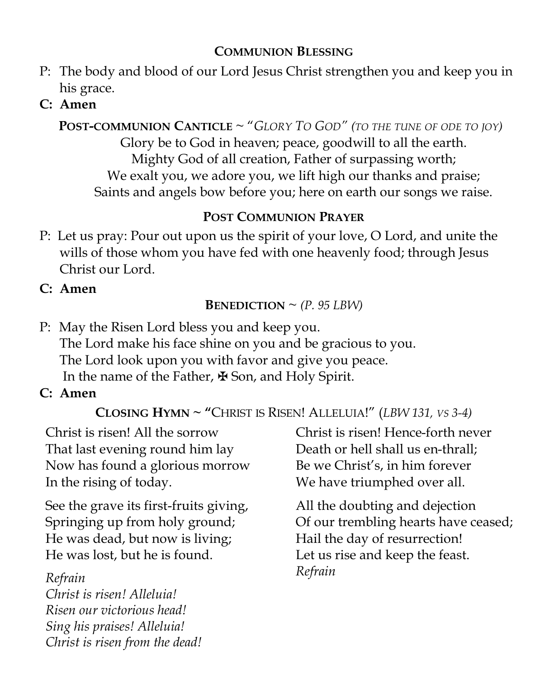#### **COMMUNION BLESSING**

- P: The body and blood of our Lord Jesus Christ strengthen you and keep you in his grace.
- **C: Amen**

**POST-COMMUNION CANTICLE** ~ "*GLORY TO GOD" (TO THE TUNE OF ODE TO JOY)*  Glory be to God in heaven; peace, goodwill to all the earth. Mighty God of all creation, Father of surpassing worth; We exalt you, we adore you, we lift high our thanks and praise; Saints and angels bow before you; here on earth our songs we raise.

#### **POST COMMUNION PRAYER**

P: Let us pray: Pour out upon us the spirit of your love, O Lord, and unite the wills of those whom you have fed with one heavenly food; through Jesus Christ our Lord.

#### **C: Amen**

**BENEDICTION**  $\sim$  *(P. 95 LBW)* 

P: May the Risen Lord bless you and keep you. The Lord make his face shine on you and be gracious to you. The Lord look upon you with favor and give you peace. In the name of the Father, ✠ Son, and Holy Spirit.

#### **C: Amen**

**CLOSING HYMN ~ "**CHRIST IS RISEN! ALLELUIA!" (*LBW 131, VS 3-4)*

Christ is risen! All the sorrow That last evening round him lay Now has found a glorious morrow In the rising of today.

See the grave its first-fruits giving, Springing up from holy ground; He was dead, but now is living; He was lost, but he is found.

*Refrain*

*Christ is risen! Alleluia! Risen our victorious head! Sing his praises! Alleluia! Christ is risen from the dead!* Christ is risen! Hence-forth never Death or hell shall us en-thrall; Be we Christ's, in him forever We have triumphed over all.

All the doubting and dejection Of our trembling hearts have ceased; Hail the day of resurrection! Let us rise and keep the feast. *Refrain*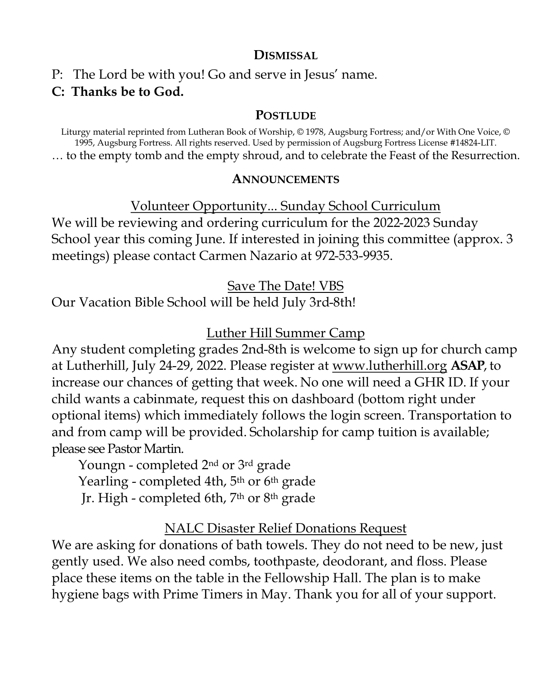#### **DISMISSAL**

P: The Lord be with you! Go and serve in Jesus' name.

#### **C: Thanks be to God.**

#### **POSTLUDE**

Liturgy material reprinted from Lutheran Book of Worship, © 1978, Augsburg Fortress; and/or With One Voice, © 1995, Augsburg Fortress. All rights reserved. Used by permission of Augsburg Fortress License #14824-LIT. … to the empty tomb and the empty shroud, and to celebrate the Feast of the Resurrection.

#### **ANNOUNCEMENTS**

Volunteer Opportunity... Sunday School Curriculum We will be reviewing and ordering curriculum for the 2022-2023 Sunday School year this coming June. If interested in joining this committee (approx. 3 meetings) please contact Carmen Nazario at 972-533-9935.

Save The Date! VBS

Our Vacation Bible School will be held July 3rd-8th!

#### Luther Hill Summer Camp

Any student completing grades 2nd-8th is welcome to sign up for church camp at Lutherhill, July 24-29, 2022. Please register at [www.lutherhill.org](http://www.luterhill.org) **ASAP**, to increase our chances of getting that week. No one will need a GHR ID. If your child wants a cabinmate, request this on dashboard (bottom right under optional items) which immediately follows the login screen. Transportation to and from camp will be provided. Scholarship for camp tuition is available; please see Pastor Martin.

Youngn - completed 2nd or 3rd grade Yearling - completed 4th,  $5<sup>th</sup>$  or  $6<sup>th</sup>$  grade Jr. High - completed 6th, 7th or 8th grade

#### NALC Disaster Relief Donations Request

We are asking for donations of bath towels. They do not need to be new, just gently used. We also need combs, toothpaste, deodorant, and floss. Please place these items on the table in the Fellowship Hall. The plan is to make hygiene bags with Prime Timers in May. Thank you for all of your support.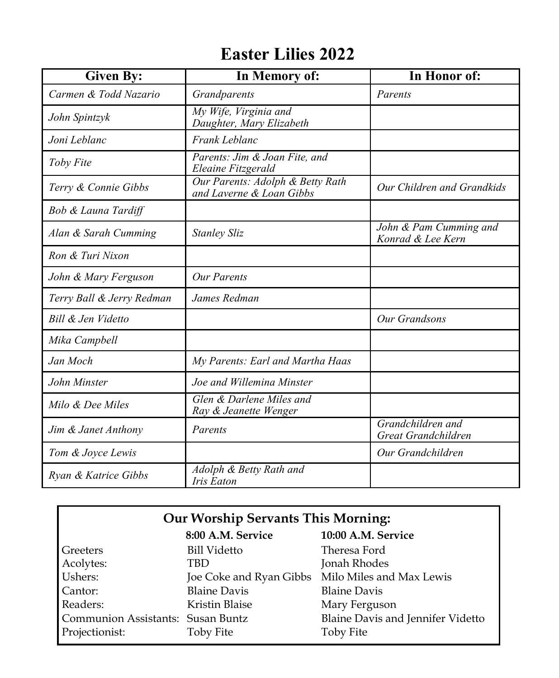# **Easter Lilies 2022**

| <b>Given By:</b>          | In Memory of:                                                | In Honor of:                                |
|---------------------------|--------------------------------------------------------------|---------------------------------------------|
| Carmen & Todd Nazario     | Grandparents                                                 | Parents                                     |
| John Spintzyk             | My Wife, Virginia and<br>Daughter, Mary Elizabeth            |                                             |
| Joni Leblanc              | Frank Leblanc                                                |                                             |
| Toby Fite                 | Parents: Jim & Joan Fite, and<br>Eleaine Fitzgerald          |                                             |
| Terry & Connie Gibbs      | Our Parents: Adolph & Betty Rath<br>and Laverne & Loan Gibbs | Our Children and Grandkids                  |
| Bob & Launa Tardiff       |                                                              |                                             |
| Alan & Sarah Cumming      | <b>Stanley Sliz</b>                                          | John & Pam Cumming and<br>Konrad & Lee Kern |
| Ron & Turi Nixon          |                                                              |                                             |
| John & Mary Ferguson      | Our Parents                                                  |                                             |
| Terry Ball & Jerry Redman | James Redman                                                 |                                             |
| Bill & Jen Videtto        |                                                              | Our Grandsons                               |
| Mika Campbell             |                                                              |                                             |
| Jan Moch                  | My Parents: Earl and Martha Haas                             |                                             |
| John Minster              | Joe and Willemina Minster                                    |                                             |
| Milo & Dee Miles          | Glen & Darlene Miles and<br>Ray & Jeanette Wenger            |                                             |
| Jim & Janet Anthony       | Parents                                                      | Grandchildren and<br>Great Grandchildren    |
| Tom & Joyce Lewis         |                                                              | Our Grandchildren                           |
| Ryan & Katrice Gibbs      | Adolph & Betty Rath and<br>Iris Eaton                        |                                             |

| <b>Our Worship Servants This Morning:</b> |                         |                                   |  |
|-------------------------------------------|-------------------------|-----------------------------------|--|
|                                           | 8:00 A.M. Service       | 10:00 A.M. Service                |  |
| Greeters                                  | <b>Bill Videtto</b>     | Theresa Ford                      |  |
| Acolytes:                                 | TBD                     | Jonah Rhodes                      |  |
| Ushers:                                   | Joe Coke and Ryan Gibbs | Milo Miles and Max Lewis          |  |
| Cantor:                                   | <b>Blaine Davis</b>     | <b>Blaine Davis</b>               |  |
| Readers:                                  | Kristin Blaise          | Mary Ferguson                     |  |
| Communion Assistants: Susan Buntz         |                         | Blaine Davis and Jennifer Videtto |  |
| Projectionist:                            | <b>Toby Fite</b>        | Toby Fite                         |  |